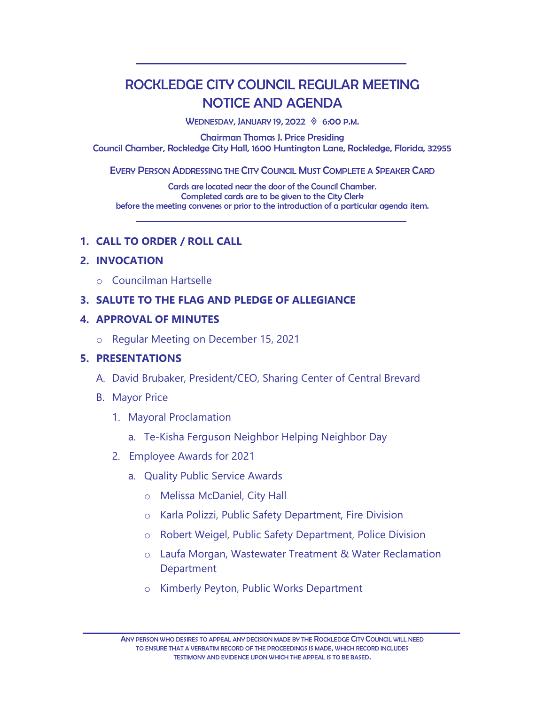# ROCKLEDGE CITY COUNCIL REGULAR MEETING NOTICE AND AGENDA

WEDNESDAY, JANUARY 19, 2022  $%$  6:00 P.M.

Chairman Thomas J. Price Presiding Council Chamber, Rockledge City Hall, 1600 Huntington Lane, Rockledge, Florida, 32955

EVERY PERSON ADDRESSING THE CITY COUNCIL MUST COMPLETE A SPEAKER CARD

Cards are located near the door of the Council Chamber. Completed cards are to be given to the City Clerk before the meeting convenes or prior to the introduction of a particular agenda item.

## **1. CALL TO ORDER / ROLL CALL**

## **2. INVOCATION**

o Councilman Hartselle

## **3. SALUTE TO THE FLAG AND PLEDGE OF ALLEGIANCE**

## **4. APPROVAL OF MINUTES**

o Regular Meeting on December 15, 2021

## **5. PRESENTATIONS**

- A. David Brubaker, President/CEO, Sharing Center of Central Brevard
- B. Mayor Price
	- 1. Mayoral Proclamation
		- a. Te-Kisha Ferguson Neighbor Helping Neighbor Day
	- 2. Employee Awards for 2021
		- a. Quality Public Service Awards
			- o Melissa McDaniel, City Hall
			- o Karla Polizzi, Public Safety Department, Fire Division
			- o Robert Weigel, Public Safety Department, Police Division
			- o Laufa Morgan, Wastewater Treatment & Water Reclamation Department
			- o Kimberly Peyton, Public Works Department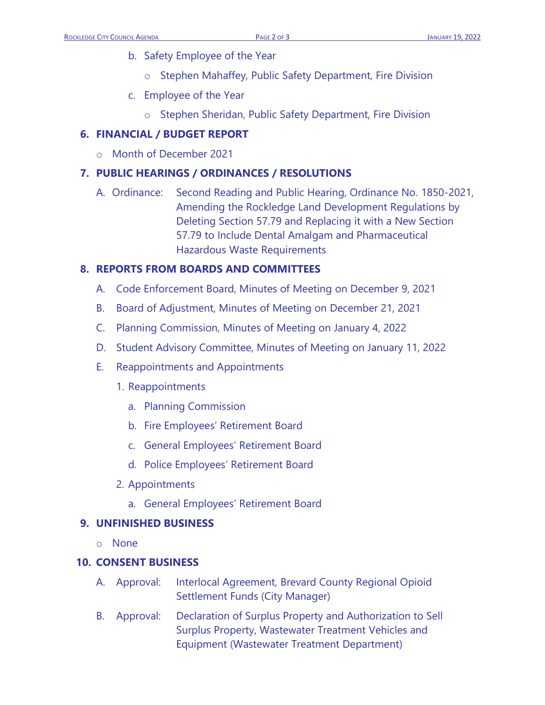- b. Safety Employee of the Year
	- o Stephen Mahaffey, Public Safety Department, Fire Division
- c. Employee of the Year
	- o Stephen Sheridan, Public Safety Department, Fire Division

## **6. FINANCIAL / BUDGET REPORT**

o Month of December 2021

## **7. PUBLIC HEARINGS / ORDINANCES / RESOLUTIONS**

A. Ordinance: Second Reading and Public Hearing, Ordinance No. 1850-2021, Amending the Rockledge Land Development Regulations by Deleting Section 57.79 and Replacing it with a New Section 57.79 to Include Dental Amalgam and Pharmaceutical Hazardous Waste Requirements

## **8. REPORTS FROM BOARDS AND COMMITTEES**

- A. Code Enforcement Board, Minutes of Meeting on December 9, 2021
- B. Board of Adjustment, Minutes of Meeting on December 21, 2021
- C. Planning Commission, Minutes of Meeting on January 4, 2022
- D. Student Advisory Committee, Minutes of Meeting on January 11, 2022
- E. Reappointments and Appointments
	- 1. Reappointments
		- a. Planning Commission
		- b. Fire Employees' Retirement Board
		- c. General Employees' Retirement Board
		- d. Police Employees' Retirement Board
	- 2. Appointments
		- a. General Employees' Retirement Board

## **9. UNFINISHED BUSINESS**

o None

## **10. CONSENT BUSINESS**

- A. Approval: Interlocal Agreement, Brevard County Regional Opioid Settlement Funds (City Manager)
- B. Approval: Declaration of Surplus Property and Authorization to Sell Surplus Property, Wastewater Treatment Vehicles and Equipment (Wastewater Treatment Department)